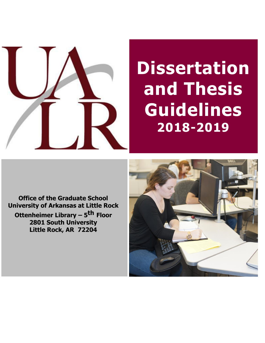

# **Dissertation and Thesis Guidelines 2018-2019**

**Office of the Graduate School University of Arkansas at Little Rock Ottenheimer Library – 5 th Floor**

**2801 South University Little Rock, AR 72204**

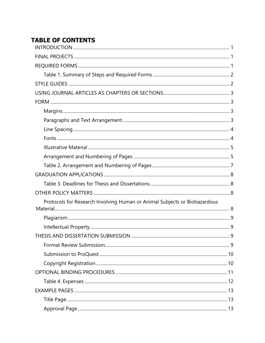# **TABLE OF CONTENTS**

| Protocols for Research Involving Human or Animal Subjects or Biohazardous |  |
|---------------------------------------------------------------------------|--|
|                                                                           |  |
|                                                                           |  |
|                                                                           |  |
|                                                                           |  |
|                                                                           |  |
|                                                                           |  |
|                                                                           |  |
|                                                                           |  |
|                                                                           |  |
|                                                                           |  |
|                                                                           |  |
|                                                                           |  |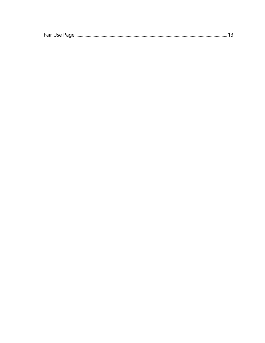|--|--|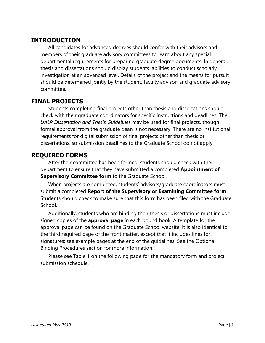# <span id="page-3-0"></span>**INTRODUCTION**

All candidates for advanced degrees should confer with their advisors and members of their graduate advisory committees to learn about any special departmental requirements for preparing graduate degree documents. In general, thesis and dissertations should display students' abilities to conduct scholarly investigation at an advanced level. Details of the project and the means for pursuit should be determined jointly by the student, faculty advisor, and graduate advisory committee.

## <span id="page-3-1"></span>**FINAL PROJECTS**

Students completing final projects other than thesis and dissertations should check with their graduate coordinators for specific instructions and deadlines. The *UALR Dissertation and Thesis Guidelines* may be used for final projects, though formal approval from the graduate dean is not necessary. There are no institutional requirements for digital submission of final projects other than thesis or dissertations, so submission deadlines to the Graduate School do not apply.

# <span id="page-3-2"></span>**REQUIRED FORMS**

After their committee has been formed, students should check with their department to ensure that they have submitted a completed **Appointment of Supervisory Committee form** to the Graduate School.

When projects are completed, students' advisors/graduate coordinators must submit a completed **Report of the Supervisory or Examining Committee form**. Students should check to make sure that this form has been filed with the Graduate School.

Additionally, students who are binding their thesis or dissertations must include signed copies of the **approval page** in each bound book. A template for the approval page can be found on the Graduate School website. It is also identical to the third required page of the front matter, except that it includes lines for signatures; see example pages at the end of the guidelines. See the Optional Binding Procedures section for more information.

Please see Table 1 on the following page for the mandatory form and project submission schedule.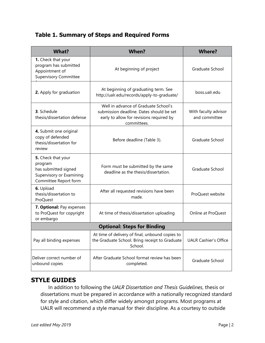# <span id="page-4-0"></span>**Table 1. Summary of Steps and Required Forms**

| What?                                                                                                      | <b>When?</b>                                                                                                                                | <b>Where?</b>                         |
|------------------------------------------------------------------------------------------------------------|---------------------------------------------------------------------------------------------------------------------------------------------|---------------------------------------|
| 1. Check that your<br>program has submitted<br>Appointment of<br><b>Supervisory Committee</b>              | At beginning of project                                                                                                                     | Graduate School                       |
| 2. Apply for graduation                                                                                    | At beginning of graduating term. See<br>http://ualr.edu/records/apply-to-graduate/                                                          | boss.ualr.edu                         |
| 3. Schedule<br>thesis/dissertation defense                                                                 | Well in advance of Graduate School's<br>submission deadline. Dates should be set<br>early to allow for revisions required by<br>committees. | With faculty advisor<br>and committee |
| 4. Submit one original<br>copy of defended<br>thesis/dissertation for<br>review                            | Before deadline (Table 3).                                                                                                                  | Graduate School                       |
| 5. Check that your<br>program<br>has submitted signed<br>Supervisory or Examining<br>Committee Report form | Form must be submitted by the same<br>deadline as the thesis/dissertation.                                                                  | Graduate School                       |
| 6. Upload<br>thesis/dissertation to<br>ProQuest                                                            | After all requested revisions have been<br>made.                                                                                            | ProQuest website                      |
| 7. Optional: Pay expenses<br>to ProQuest for copyright<br>or embargo                                       | At time of thesis/dissertation uploading                                                                                                    | Online at ProQuest                    |
| <b>Optional: Steps for Binding</b>                                                                         |                                                                                                                                             |                                       |
| Pay all binding expenses                                                                                   | At time of delivery of final, unbound copies to<br>the Graduate School. Bring receipt to Graduate<br>School.                                | <b>UALR Cashier's Office</b>          |
| Deliver correct number of<br>unbound copies                                                                | After Graduate School format review has been<br>completed.                                                                                  | Graduate School                       |

# <span id="page-4-1"></span>**STYLE GUIDES**

In addition to following the *UALR Dissertation and Thesis Guidelines*, thesis or dissertations must be prepared in accordance with a nationally recognized standard for style and citation, which differ widely amongst programs. Most programs at UALR will recommend a style manual for their discipline. As a courtesy to outside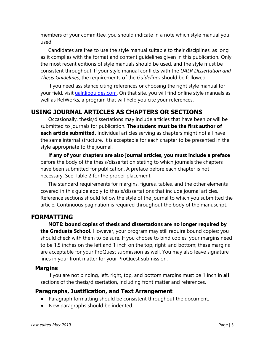members of your committee, you should indicate in a note which style manual you used.

Candidates are free to use the style manual suitable to their disciplines, as long as it complies with the format and content guidelines given in this publication. Only the most recent editions of style manuals should be used, and the style must be consistent throughout. If your style manual conflicts with the *UALR Dissertation and Thesis Guidelines*, the requirements of the *Guidelines* should be followed.

If you need assistance citing references or choosing the right style manual for your field, visit [ualr.libguides.com.](http://ualr.libguides.com/) On that site, you will find online style manuals as well as RefWorks, a program that will help you cite your references.

# <span id="page-5-0"></span>**USING JOURNAL ARTICLES AS CHAPTERS OR SECTIONS**

Occasionally, thesis/dissertations may include articles that have been or will be submitted to journals for publication. **The student must be the first author of each article submitted.** Individual articles serving as chapters might not all have the same internal structure. It is acceptable for each chapter to be presented in the style appropriate to the journal.

**If any of your chapters are also journal articles, you must include a preface**  before the body of the thesis/dissertation stating to which journals the chapters have been submitted for publication. A preface before each chapter is not necessary. See Table 2 for the proper placement.

The standard requirements for margins, figures, tables, and the other elements covered in this guide apply to thesis/dissertations that include journal articles. Reference sections should follow the style of the journal to which you submitted the article. Continuous pagination is required throughout the body of the manuscript.

## <span id="page-5-1"></span>**FORMATTING**

**NOTE: bound copies of thesis and dissertations are no longer required by the Graduate School.** However, your program may still require bound copies; you should check with them to be sure. If you choose to bind copies, your margins need to be 1.5 inches on the left and 1 inch on the top, right, and bottom; these margins are acceptable for your ProQuest submission as well. You may also leave signature lines in your front matter for your ProQuest submission.

## <span id="page-5-2"></span>**Margins**

If you are not binding, left, right, top, and bottom margins must be 1 inch in **all** sections of the thesis/dissertation, including front matter and references.

#### <span id="page-5-3"></span>**Paragraphs, Justification, and Text Arrangement**

- Paragraph formatting should be consistent throughout the document.
- New paragraphs should be indented.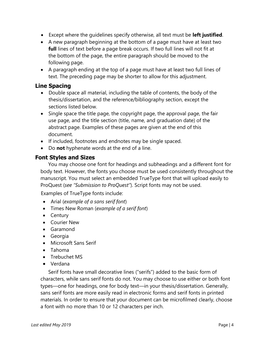- Except where the guidelines specify otherwise, all text must be **left justified**.
- A new paragraph beginning at the bottom of a page must have at least two **full** lines of text before a page break occurs. If two full lines will not fit at the bottom of the page, the entire paragraph should be moved to the following page.
- A paragraph ending at the top of a page must have at least two full lines of text. The preceding page may be shorter to allow for this adjustment.

## <span id="page-6-0"></span>**Line Spacing**

- Double space all material, including the table of contents, the body of the thesis/dissertation, and the reference/bibliography section, except the sections listed below.
- Single space the title page, the copyright page, the approval page, the fair use page, and the title section (title, name, and graduation date) of the abstract page. Examples of these pages are given at the end of this document.
- If included, footnotes and endnotes may be single spaced.
- Do **not** hyphenate words at the end of a line.

## <span id="page-6-1"></span>**Font Styles and Sizes**

You may choose one font for headings and subheadings and a different font for body text. However, the fonts you choose must be used consistently throughout the manuscript. You must select an embedded TrueType font that will upload easily to ProQuest (*see "Submission to ProQuest"*). Script fonts may not be used.

Examples of TrueType fonts include:

- Arial (*example of a sans serif font*)
- Times New Roman (*example of a serif font*)
- Century
- Courier New
- Garamond
- Georgia
- Microsoft Sans Serif
- Tahoma
- Trebuchet MS
- Verdana

Serif fonts have small decorative lines ("serifs") added to the basic form of characters, while sans serif fonts do not. You may choose to use either or both font types—one for headings, one for body text—in your thesis/dissertation. Generally, sans serif fonts are more easily read in electronic forms and serif fonts in printed materials. In order to ensure that your document can be microfilmed clearly, choose a font with no more than 10 or 12 characters per inch.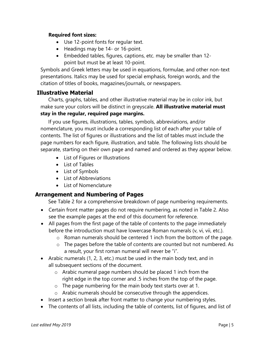#### **Required font sizes:**

- Use 12-point fonts for regular text.
- Headings may be 14- or 16-point.
- Embedded tables, figures, captions, etc. may be smaller than 12 point but must be at least 10-point.

Symbols and Greek letters may be used in equations, formulae, and other non-text presentations. Italics may be used for special emphasis, foreign words, and the citation of titles of books, magazines/journals, or newspapers.

## <span id="page-7-0"></span>**Illustrative Material**

Charts, graphs, tables, and other illustrative material may be in color ink, but make sure your colors will be distinct in greyscale. **All illustrative material must stay in the regular, required page margins.**

If you use figures, illustrations, tables, symbols, abbreviations, and/or nomenclature, you must include a corresponding list of each after your table of contents. The list of figures or illustrations and the list of tables must include the page numbers for each figure, illustration, and table. The following lists should be separate, starting on their own page and named and ordered as they appear below.

- List of Figures or Illustrations
- List of Tables
- List of Symbols
- List of Abbreviations
- List of Nomenclature

## <span id="page-7-1"></span>**Arrangement and Numbering of Pages**

See Table 2 for a comprehensive breakdown of page numbering requirements.

- Certain front matter pages do not require numbering, as noted in Table 2. Also see the example pages at the end of this document for reference.
- All pages from the first page of the table of contents to the page immediately before the introduction must have lowercase Roman numerals (v, vi, vii, etc.).
	- o Roman numerals should be centered 1 inch from the bottom of the page.
	- o The pages before the table of contents are counted but not numbered. As a result, your first roman numeral will never be "i".
- Arabic numerals (1, 2, 3, etc.) must be used in the main body text, and in all subsequent sections of the document.
	- o Arabic numeral page numbers should be placed 1 inch from the right edge in the top corner and .5 inches from the top of the page.
	- o The page numbering for the main body text starts over at 1.
	- o Arabic numerals should be consecutive through the appendices.
- Insert a section break after front matter to change your numbering styles.
- The contents of all lists, including the table of contents, list of figures, and list of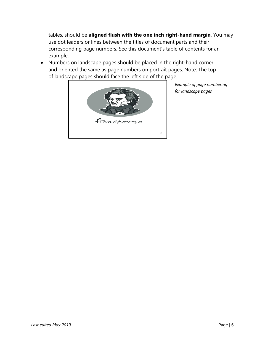tables, should be **aligned flush with the one inch right-hand margin**. You may use dot leaders or lines between the titles of document parts and their corresponding page numbers. See this document's table of contents for an example.

• Numbers on landscape pages should be placed in the right-hand corner and oriented the same as page numbers on portrait pages. Note: The top of landscape pages should face the left side of the page.



*Example of page numbering for landscape pages*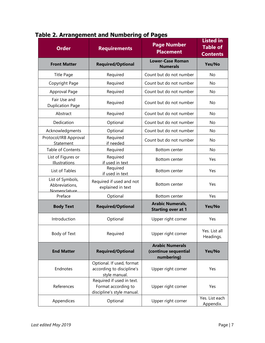| <b>Order</b>                                       | <b>Requirements</b>                                                            | <b>Page Number</b><br><b>Placement</b>                       | <b>Listed in</b><br><b>Table of</b><br><b>Contents</b> |
|----------------------------------------------------|--------------------------------------------------------------------------------|--------------------------------------------------------------|--------------------------------------------------------|
| <b>Front Matter</b>                                | <b>Required/Optional</b>                                                       | <b>Lower-Case Roman</b><br><b>Numerals</b>                   | Yes/No                                                 |
| <b>Title Page</b>                                  | Required                                                                       | Count but do not number                                      | No                                                     |
| Copyright Page                                     | Required                                                                       | Count but do not number                                      | No                                                     |
| Approval Page                                      | Required                                                                       | Count but do not number                                      | No                                                     |
| Fair Use and<br><b>Duplication Page</b>            | Required                                                                       | Count but do not number                                      | No                                                     |
| Abstract                                           | Required                                                                       | Count but do not number                                      | No                                                     |
| Dedication                                         | Optional                                                                       | Count but do not number                                      | No                                                     |
| Acknowledgments                                    | Optional                                                                       | Count but do not number                                      | No                                                     |
| Protocol/IRB Approval<br>Statement                 | Required<br>if needed                                                          | Count but do not number                                      | No                                                     |
| <b>Table of Contents</b>                           | Required                                                                       | Bottom center                                                | No                                                     |
| List of Figures or<br>Illustrations                | Required<br>if used in text                                                    | Bottom center                                                | Yes                                                    |
| List of Tables                                     | Required<br>if used in text                                                    | Bottom center                                                | Yes                                                    |
| List of Symbols,<br>Abbreviations,<br>Nomenclature | Required if used and not<br>explained in text                                  | <b>Bottom center</b>                                         | Yes                                                    |
| Preface                                            | Optional                                                                       | Bottom center                                                | Yes                                                    |
| <b>Body Text</b>                                   | <b>Required/Optional</b>                                                       | <b>Arabic Numerals,</b><br><b>Starting over at 1</b>         | Yes/No                                                 |
| Introduction                                       | Optional                                                                       | Upper right corner                                           | Yes                                                    |
| Body of Text                                       | Required                                                                       | Upper right corner                                           | Yes. List all<br>Headings.                             |
| <b>End Matter</b>                                  | <b>Required/Optional</b>                                                       | <b>Arabic Numerals</b><br>(continue sequential<br>numbering) | Yes/No                                                 |
| Endnotes                                           | Optional. If used, format<br>according to discipline's<br>style manual.        | Upper right corner                                           | Yes                                                    |
| References                                         | Required if used in text.<br>Format according to<br>discipline's style manual. | Upper right corner                                           | Yes                                                    |
| Appendices                                         | Optional                                                                       | Upper right corner                                           | Yes. List each<br>Appendix.                            |

# <span id="page-9-0"></span>**Table 2. Arrangement and Numbering of Pages**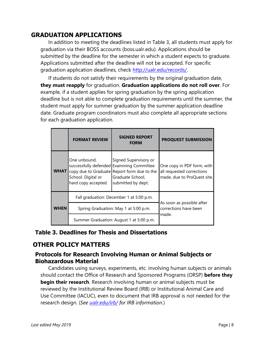# <span id="page-10-0"></span>**GRADUATION APPLICATIONS**

In addition to meeting the deadlines listed in Table 3, all students must apply for graduation via their BOSS accounts (boss.ualr.edu). Applications should be submitted by the deadline for the semester in which a student expects to graduate. Applications submitted after the deadline will not be accepted. For specific graduation application deadlines, check [http://ualr.edu/records/.](http://ualr.edu/records/)

If students do not satisfy their requirements by the original graduation date, **they must reapply** for graduation. **Graduation applications do not roll over**. For example, if a student applies for spring graduation by the spring application deadline but is not able to complete graduation requirements until the summer, the student must apply for summer graduation by the summer application deadline date. Graduate program coordinators must also complete all appropriate sections for each graduation application.

<span id="page-10-1"></span>

|             | <b>FORMAT REVIEW</b>                                      | <b>SIGNED REPORT</b><br><b>FORM</b>                                                                                                                         | <b>PROQUEST SUBMISSION</b>                                                             |  |
|-------------|-----------------------------------------------------------|-------------------------------------------------------------------------------------------------------------------------------------------------------------|----------------------------------------------------------------------------------------|--|
| <b>WHAT</b> | One unbound,<br>School. Digital or<br>hard copy accepted. | Signed Supervisory or<br>successfully defended Examining Committee<br>copy due to Graduate Report form due to the<br>Graduate School,<br>submitted by dept. | One copy in PDF form, with<br>all requested corrections<br>made, due to ProQuest site. |  |
|             | Fall graduation: December 1 at 5:00 p.m.                  |                                                                                                                                                             |                                                                                        |  |
| WHEN        | Spring Graduation: May 1 at 5:00 p.m.                     |                                                                                                                                                             | As soon as possible after<br>corrections have been                                     |  |
|             | Summer Graduation: August 1 at 5:00 p.m.                  |                                                                                                                                                             | made.                                                                                  |  |

## **Table 3. Deadlines for Thesis and Dissertations**

## <span id="page-10-2"></span>**OTHER POLICY MATTERS**

## <span id="page-10-3"></span>**Protocols for Research Involving Human or Animal Subjects or Biohazardous Material**

Candidates using surveys, experiments, etc. involving human subjects or animals should contact the Office of Research and Sponsored Programs (ORSP) **before they begin their research**. Research involving human or animal subjects must be reviewed by the Institutional Review Board (IRB) or Institutional Animal Care and Use Committee (IACUC), even to document that IRB approval is not needed for the research design. (*See [ualr.edu/irb/](http://ualr.edu/irb/) for IRB information.*)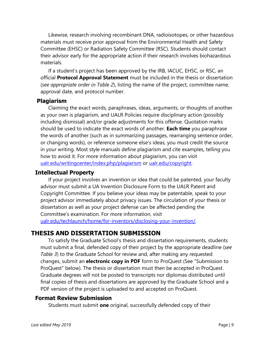Likewise, research involving recombinant DNA, radioisotopes, or other hazardous materials must receive prior approval from the Environmental Health and Safety Committee (EHSC) or Radiation Safety Committee (RSC). Students should contact their advisor early for the appropriate action if their research involves biohazardous materials.

If a student's project has been approved by the IRB, IACUC, EHSC, or RSC, an official **Protocol Approval Statement** must be included in the thesis or dissertation (*see appropriate order in Table 2*), listing the name of the project, committee name, approval date, and protocol number.

#### <span id="page-11-0"></span>**Plagiarism**

Claiming the exact words, paraphrases, ideas, arguments, or thoughts of another as your own is plagiarism, and UALR Policies require disciplinary action (possibly including dismissal) and/or grade adjustments for this offense. Quotation marks should be used to indicate the exact words of another. **Each time** you paraphrase the words of another (such as in summarizing passages, rearranging sentence order, or changing words), or reference someone else's ideas, you must credit the source in your writing. Most style manuals define plagiarism and cite examples, telling you how to avoid it. For more information about plagiarism, you can visit [ualr.edu/writingcenter/index.php/plagiarism](http://ualr.edu/writingcenter/index.php/plagiarism/) or [ualr.edu/copyright.](http://ualr.edu/copyright/)

#### <span id="page-11-1"></span>**Intellectual Property**

If your project involves an invention or idea that could be patented, your faculty advisor must submit a UA Invention Disclosure Form to the UALR Patent and Copyright Committee. If you believe your ideas may be patentable, speak to your project advisor immediately about privacy issues. The circulation of your thesis or dissertation as well as your project defense can be affected pending the Committee's examination. For more information, visit [ualr.edu/techlaunch/home/for-inventors/disclosing-your-invention/.](http://ualr.edu/techlaunch/home/for-inventors/disclosing-your-invention/)

## <span id="page-11-2"></span>**THESIS AND DISSERTATION SUBMISSION**

To satisfy the Graduate School's thesis and dissertation requirements, students must submit a final, defended copy of their project by the appropriate deadline (*see Table 3*) to the Graduate School for review and, after making any requested changes, submit an **electronic copy in PDF** form to ProQuest (See "Submission to ProQuest" below). The thesis or dissertation must then be accepted in ProQuest. Graduate degrees will not be posted to transcripts nor diplomas distributed until final copies of thesis and dissertations are approved by the Graduate School and a PDF version of the project is uploaded to and accepted on ProQuest.

## <span id="page-11-3"></span>**Format Review Submission**

Students must submit **one** original, successfully defended copy of their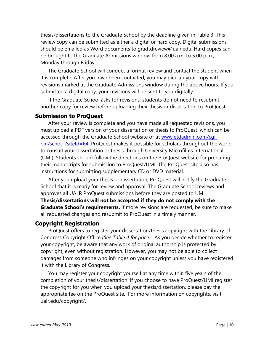thesis/dissertations to the Graduate School by the deadline given in Table 3. This review copy can be submitted as either a digital or hard copy. Digital submissions should be emailed as Word documents to gradtdreview@ualr.edu. Hard copies can be brought to the Graduate Admissions window from 8:00 a.m. to 5:00 p.m., Monday through Friday.

The Graduate School will conduct a format review and contact the student when it is complete. After you have been contacted, you may pick up your copy with revisions marked at the Graduate Admissions window during the above hours. If you submitted a digital copy, your revisions will be sent to you digitally.

If the Graduate School asks for revisions, students do not need to resubmit another copy for review before uploading their thesis or dissertation to ProQuest.

#### <span id="page-12-0"></span>**Submission to ProQuest**

After your review is complete and you have made all requested revisions, you must upload a PDF version of your dissertation or thesis to ProQuest, which can be accessed through the Graduate School website or at [www.etdadmin.com/cgi](http://www.etdadmin.com/cgi-bin/school?siteId=64)[bin/school?siteId=64.](http://www.etdadmin.com/cgi-bin/school?siteId=64) ProQuest makes it possible for scholars throughout the world to consult your dissertation or thesis through University Microfilms International (UMI). Students should follow the directions on the ProQuest website for preparing their manuscripts for submission to ProQuest/UMI. The ProQuest site also has instructions for submitting supplementary CD or DVD material.

After you upload your thesis or dissertation, ProQuest will notify the Graduate School that it is ready for review and approval. The Graduate School reviews and approves all UALR ProQuest submissions before they are posted to UMI. **Thesis/dissertations will not be accepted if they do not comply with the Graduate School's requirements.** If more revisions are requested, be sure to make all requested changes and resubmit to ProQuest in a timely manner.

#### <span id="page-12-1"></span>**Copyright Registration**

ProQuest offers to register your dissertation/thesis copyright with the Library of Congress Copyright Office *(See Table 4 for price).* As you decide whether to register your copyright, be aware that any work of original authorship is protected by copyright, even without registration. However, you may not be able to collect damages from someone who infringes on your copyright unless you have registered it with the Library of Congress.

You may register your copyright yourself at any time within five years of the completion of your thesis/dissertation. If you choose to have ProQuest/UMI register the copyright for you when you upload your thesis/dissertation, please pay the appropriate fee on the ProQuest site. For more information on copyrights, visit ualr.edu/copyright/.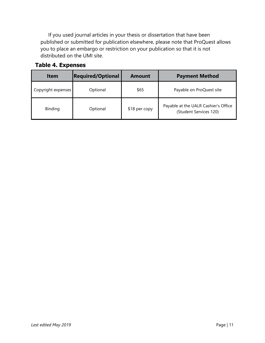If you used journal articles in your thesis or dissertation that have been published or submitted for publication elsewhere, please note that ProQuest allows you to place an embargo or restriction on your publication so that it is not distributed on the UMI site.

<span id="page-13-0"></span>

| <b>Item</b>        | <b>Required/Optional</b> | <b>Amount</b> | <b>Payment Method</b>                                          |
|--------------------|--------------------------|---------------|----------------------------------------------------------------|
| Copyright expenses | Optional                 | \$65          | Payable on ProQuest site                                       |
| Binding            | Optional                 | \$18 per copy | Payable at the UALR Cashier's Office<br>(Student Services 120) |

## **Table 4. Expenses**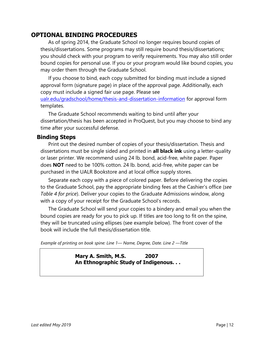# **OPTIONAL BINDING PROCEDURES**

As of spring 2014, the Graduate School no longer requires bound copies of thesis/dissertations. Some programs may still require bound thesis/dissertations; you should check with your program to verify requirements. You may also still order bound copies for personal use. If you or your program would like bound copies, you may order them through the Graduate School.

If you choose to bind, each copy submitted for binding must include a signed approval form (signature page) in place of the approval page. Additionally, each copy must include a signed fair use page. Please see

[ualr.edu/gradschool/home/thesis-and-dissertation-information](http://ualr.edu/gradschool/home/thesis-and-dissertation-information) for approval form templates.

The Graduate School recommends waiting to bind until after your dissertation/thesis has been accepted in ProQuest, but you may choose to bind any time after your successful defense.

## **Binding Steps**

Print out the desired number of copies of your thesis/dissertation. Thesis and dissertations must be single sided and printed in **all black ink** using a letter-quality or laser printer. We recommend using 24 lb. bond, acid-free, white paper. Paper does **NOT** need to be 100% cotton. 24 lb. bond, acid-free, white paper can be purchased in the UALR Bookstore and at local office supply stores.

Separate each copy with a piece of colored paper. Before delivering the copies to the Graduate School, pay the appropriate binding fees at the Cashier's office (*see Table 4 for price*). Deliver your copies to the Graduate Admissions window, along with a copy of your receipt for the Graduate School's records.

The Graduate School will send your copies to a bindery and email you when the bound copies are ready for you to pick up. If titles are too long to fit on the spine, they will be truncated using ellipses (see example below). The front cover of the book will include the full thesis/dissertation title.

<span id="page-14-0"></span>*Example of printing on book spine: Line 1— Name, Degree, Date. Line 2 —Title*

**Mary A. Smith, M.S. 2007 An Ethnographic Study of Indigenous. . .**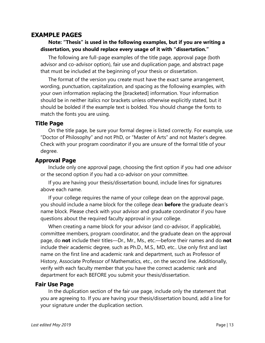## <span id="page-15-0"></span>**EXAMPLE PAGES**

#### **Note: "Thesis" is used in the following examples, but if you are writing a dissertation, you should replace every usage of it with "dissertation."**

The following are full-page examples of the title page, approval page (both advisor and co-advisor option), fair use and duplication page, and abstract page that must be included at the beginning of your thesis or dissertation.

The format of the version you create must have the exact same arrangement, wording, punctuation, capitalization, and spacing as the following examples, with your own information replacing the [bracketed] information. Your information should be in neither italics nor brackets unless otherwise explicitly stated, but it should be bolded if the example text is bolded. You should change the fonts to match the fonts you are using.

#### <span id="page-15-1"></span>**Title Page**

On the title page, be sure your formal degree is listed correctly. For example, use "Doctor of Philosophy" and not PhD, or "Master of Arts" and not Master's degree. Check with your program coordinator if you are unsure of the formal title of your degree.

#### <span id="page-15-2"></span>**Approval Page**

Include only one approval page, choosing the first option if you had one advisor or the second option if you had a co-advisor on your committee.

If you are having your thesis/dissertation bound, include lines for signatures above each name.

If your college requires the name of your college dean on the approval page, you should include a name block for the college dean **before** the graduate dean's name block. Please check with your advisor and graduate coordinator if you have questions about the required faculty approval in your college.

When creating a name block for your advisor (and co-advisor, if applicable), committee members, program coordinator, and the graduate dean on the approval page, do **not** include their titles—Dr., Mr., Ms., etc.—before their names and do **not**  include their academic degree, such as Ph.D., M.S., MD, etc.. Use only first and last name on the first line and academic rank and department, such as Professor of History, Associate Professor of Mathematics, etc., on the second line. Additionally, verify with each faculty member that you have the correct academic rank and department for each BEFORE you submit your thesis/dissertation.

#### <span id="page-15-3"></span>**Fair Use Page**

In the duplication section of the fair use page, include only the statement that you are agreeing to. If you are having your thesis/dissertation bound, add a line for your signature under the duplication section.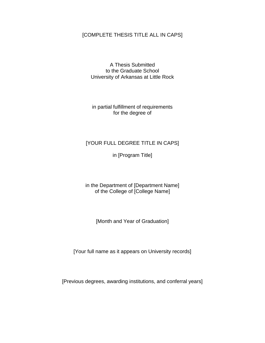#### [COMPLETE THESIS TITLE ALL IN CAPS]

A Thesis Submitted to the Graduate School University of Arkansas at Little Rock

in partial fulfillment of requirements for the degree of

#### [YOUR FULL DEGREE TITLE IN CAPS]

in [Program Title]

in the Department of [Department Name] of the College of [College Name]

[Month and Year of Graduation]

[Your full name as it appears on University records]

[Previous degrees, awarding institutions, and conferral years]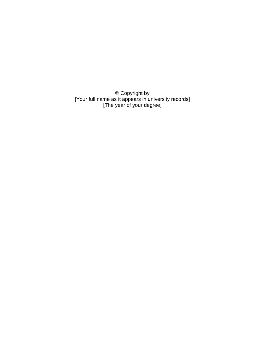© Copyright by [Your full name as it appears in university records] [The year of your degree]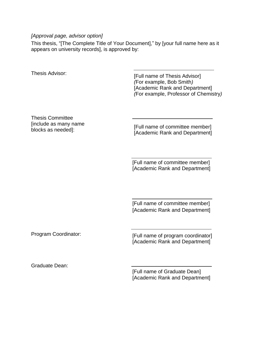#### *[Approval page, advisor option]*

This thesis, "[The Complete Title of Your Document]," by [your full name here as it appears on university records], is approved by:

Thesis Advisor:<br>
[Full name of Thesis Advisor] *(*For example, Bob Smith*)*  [Academic Rank and Department] *(*For example, Professor of Chemistry*)*

Thesis Committee [include as many name blocks as needed]:

[Full name of committee member] [Academic Rank and Department]

[Full name of committee member] [Academic Rank and Department]

[Full name of committee member] [Academic Rank and Department]

Program Coordinator: **[Full name of program coordinator]** [Academic Rank and Department]

Graduate Dean:

[Full name of Graduate Dean] [Academic Rank and Department]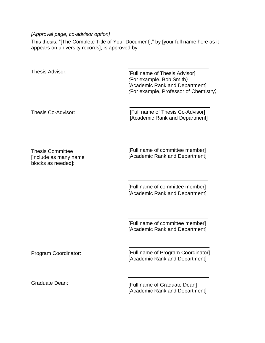## *[Approval page, co-advisor option]*

This thesis, "[The Complete Title of Your Document]," by [your full name here as it appears on university records], is approved by:

| Thesis Advisor:                                                        | [Full name of Thesis Advisor]<br>(For example, Bob Smith)<br>[Academic Rank and Department]<br>(For example, Professor of Chemistry) |
|------------------------------------------------------------------------|--------------------------------------------------------------------------------------------------------------------------------------|
| Thesis Co-Advisor:                                                     | [Full name of Thesis Co-Advisor]<br>[Academic Rank and Department]                                                                   |
| <b>Thesis Committee</b><br>[include as many name<br>blocks as needed]: | [Full name of committee member]<br>[Academic Rank and Department]                                                                    |
|                                                                        | [Full name of committee member]<br>[Academic Rank and Department]                                                                    |
|                                                                        | [Full name of committee member]<br>[Academic Rank and Department]                                                                    |
| Program Coordinator:                                                   | [Full name of Program Coordinator]<br>[Academic Rank and Department]                                                                 |
| <b>Graduate Dean:</b>                                                  | [Full name of Graduate Dean]                                                                                                         |

[Academic Rank and Department]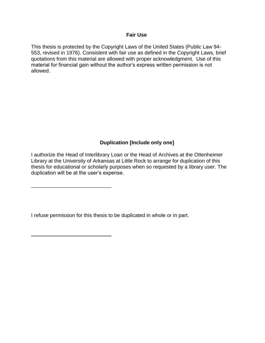#### **Fair Use**

This thesis is protected by the Copyright Laws of the United States (Public Law 94- 553, revised in 1976). Consistent with fair use as defined in the Copyright Laws, brief quotations from this material are allowed with proper acknowledgment. Use of this material for financial gain without the author's express written permission is not allowed.

#### **Duplication [Include only one]**

I authorize the Head of Interlibrary Loan or the Head of Archives at the Ottenheimer Library at the University of Arkansas at Little Rock to arrange for duplication of this thesis for educational or scholarly purposes when so requested by a library user. The duplication will be at the user's expense.

I refuse permission for this thesis to be duplicated in whole or in part.